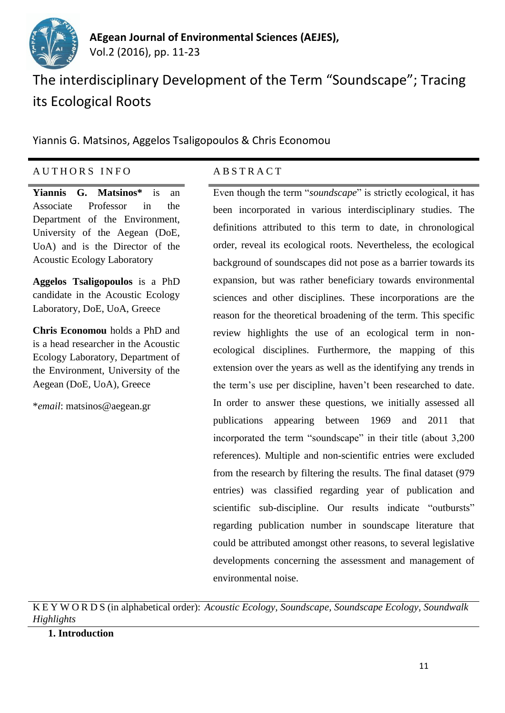

# The interdisciplinary Development of the Term "Soundscape"; Tracing its Ecological Roots

Yiannis G. Matsinos, Aggelos Tsaligopoulos & Chris Economou

## A U T H O R S I N F O A B S T R A C T

**Yiannis G. Matsinos\*** is an Associate Professor in the Department of the Environment, University of the Aegean (DoE, UoA) and is the Director of the Acoustic Ecology Laboratory

**Aggelos Tsaligopoulos** is a PhD candidate in the Acoustic Ecology Laboratory, DoE, UoA, Greece

**Chris Economou** holds a PhD and is a head researcher in the Acoustic Ecology Laboratory, Department of the Environment, University of the Aegean (DoE, UoA), Greece

\**email*: matsinos@aegean.gr

Even though the term "*soundscape*" is strictly ecological, it has been incorporated in various interdisciplinary studies. The definitions attributed to this term to date, in chronological order, reveal its ecological roots. Nevertheless, the ecological background of soundscapes did not pose as a barrier towards its expansion, but was rather beneficiary towards environmental sciences and other disciplines. These incorporations are the reason for the theoretical broadening of the term. This specific review highlights the use of an ecological term in nonecological disciplines. Furthermore, the mapping of this extension over the years as well as the identifying any trends in the term's use per discipline, haven't been researched to date. In order to answer these questions, we initially assessed all publications appearing between 1969 and 2011 that incorporated the term "soundscape" in their title (about 3,200 references). Multiple and non-scientific entries were excluded from the research by filtering the results. The final dataset (979 entries) was classified regarding year of publication and scientific sub-discipline. Our results indicate "outbursts" regarding publication number in soundscape literature that could be attributed amongst other reasons, to several legislative developments concerning the assessment and management of environmental noise.

K E Y W O R D S (in alphabetical order): *Acoustic Ecology, Soundscape, Soundscape Ecology, Soundwalk Highlights*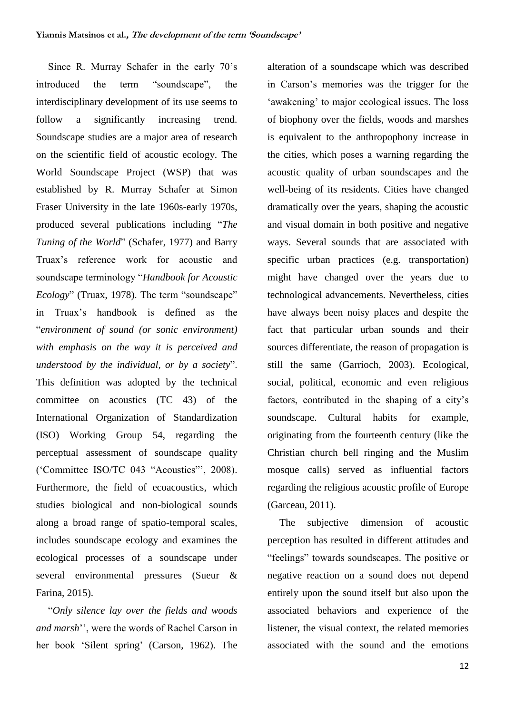Since R. Murray Schafer in the early 70's introduced the term "soundscape", the interdisciplinary development of its use seems to follow a significantly increasing trend. Soundscape studies are a major area of research on the scientific field of acoustic ecology. The World Soundscape Project (WSP) that was established by R. Murray Schafer at Simon Fraser University in the late 1960s-early 1970s, produced several publications including "*The Tuning of the World*" (Schafer, 1977) and Barry Truax's reference work for acoustic and soundscape terminology "*Handbook for Acoustic Ecology*" (Truax, 1978). The term "soundscape" in Truax's handbook is defined as the "*environment of sound (or sonic environment) with emphasis on the way it is perceived and understood by the individual, or by a society*". This definition was adopted by the technical committee on acoustics (TC 43) of the International Organization of Standardization (ISO) Working Group 54, regarding the perceptual assessment of soundscape quality ('Committee ISO/TC 043 "Acoustics"', 2008). Furthermore, the field of ecoacoustics, which studies biological and non-biological sounds along a broad range of spatio-temporal scales, includes soundscape ecology and examines the ecological processes of a soundscape under several environmental pressures (Sueur & Farina, 2015).

"*Only silence lay over the fields and woods and marsh*'', were the words of Rachel Carson in her book 'Silent spring' (Carson, 1962). The alteration of a soundscape which was described in Carson's memories was the trigger for the 'awakening' to major ecological issues. The loss of biophony over the fields, woods and marshes is equivalent to the anthropophony increase in the cities, which poses a warning regarding the acoustic quality of urban soundscapes and the well-being of its residents. Cities have changed dramatically over the years, shaping the acoustic and visual domain in both positive and negative ways. Several sounds that are associated with specific urban practices (e.g. transportation) might have changed over the years due to technological advancements. Nevertheless, cities have always been noisy places and despite the fact that particular urban sounds and their sources differentiate, the reason of propagation is still the same (Garrioch, 2003). Ecological, social, political, economic and even religious factors, contributed in the shaping of a city's soundscape. Cultural habits for example, originating from the fourteenth century (like the Christian church bell ringing and the Muslim mosque calls) served as influential factors regarding the religious acoustic profile of Europe (Garceau, 2011).

The subjective dimension of acoustic perception has resulted in different attitudes and "feelings" towards soundscapes. The positive or negative reaction on a sound does not depend entirely upon the sound itself but also upon the associated behaviors and experience of the listener, the visual context, the related memories associated with the sound and the emotions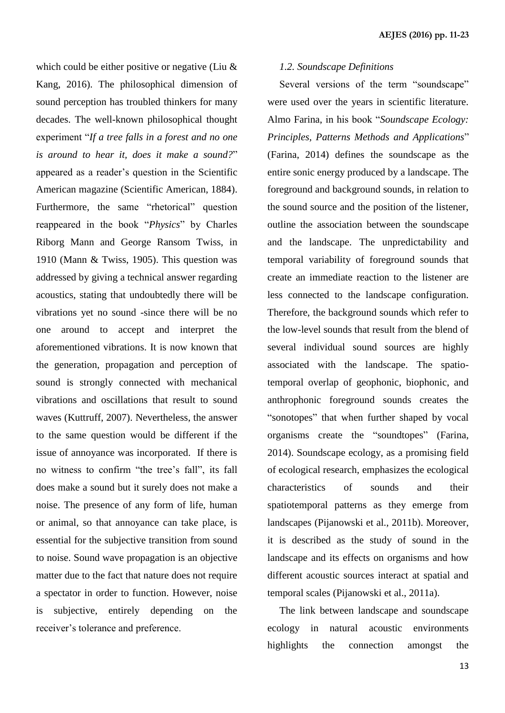which could be either positive or negative (Liu  $\&$ Kang, 2016). The philosophical dimension of sound perception has troubled thinkers for many decades. The well-known philosophical thought experiment "*If a tree falls in a forest and no one is around to hear it, does it make a sound?*" appeared as a reader's question in the Scientific American magazine (Scientific American, 1884). Furthermore, the same "rhetorical" question reappeared in the book "*Physics*" by Charles Riborg Mann and George Ransom Twiss, in 1910 (Mann & Twiss, 1905). This question was addressed by giving a technical answer regarding acoustics, stating that undoubtedly there will be vibrations yet no sound -since there will be no one around to accept and interpret the aforementioned vibrations. It is now known that the generation, propagation and perception of sound is strongly connected with mechanical vibrations and oscillations that result to sound waves (Kuttruff, 2007). Nevertheless, the answer to the same question would be different if the issue of annoyance was incorporated. If there is no witness to confirm "the tree's fall", its fall does make a sound but it surely does not make a noise. The presence of any form of life, human or animal, so that annoyance can take place, is essential for the subjective transition from sound to noise. Sound wave propagation is an objective matter due to the fact that nature does not require a spectator in order to function. However, noise is subjective, entirely depending on the receiver's tolerance and preference.

#### *1.2. Soundscape Definitions*

Several versions of the term "soundscape" were used over the years in scientific literature. Almo Farina, in his book "*Soundscape Ecology: Principles, Patterns Methods and Applications*" (Farina, 2014) defines the soundscape as the entire sonic energy produced by a landscape. The foreground and background sounds, in relation to the sound source and the position of the listener, outline the association between the soundscape and the landscape. The unpredictability and temporal variability of foreground sounds that create an immediate reaction to the listener are less connected to the landscape configuration. Therefore, the background sounds which refer to the low-level sounds that result from the blend of several individual sound sources are highly associated with the landscape. The spatiotemporal overlap of geophonic, biophonic, and anthrophonic foreground sounds creates the "sonotopes" that when further shaped by vocal organisms create the "soundtopes" (Farina, 2014). Soundscape ecology, as a promising field of ecological research, emphasizes the ecological characteristics of sounds and their spatiotemporal patterns as they emerge from landscapes (Pijanowski et al., 2011b). Moreover, it is described as the study of sound in the landscape and its effects on organisms and how different acoustic sources interact at spatial and temporal scales (Pijanowski et al., 2011a).

The link between landscape and soundscape ecology in natural acoustic environments highlights the connection amongst the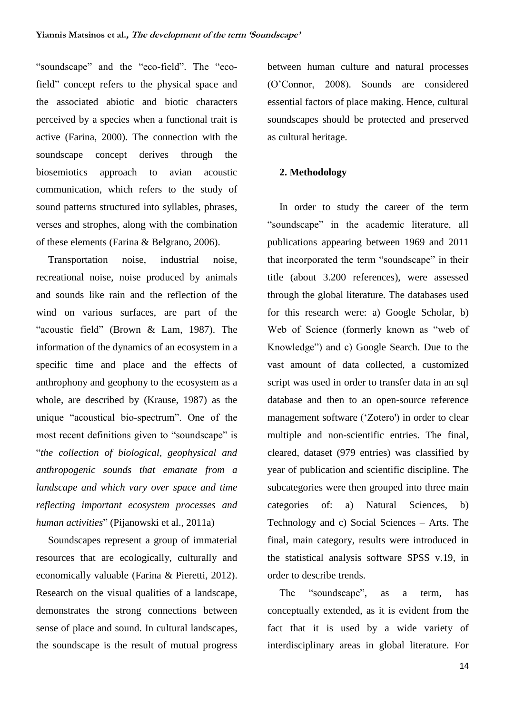"soundscape" and the "eco-field". The "ecofield" concept refers to the physical space and the associated abiotic and biotic characters perceived by a species when a functional trait is active (Farina, 2000). The connection with the soundscape concept derives through the biosemiotics approach to avian acoustic communication, which refers to the study of sound patterns structured into syllables, phrases, verses and strophes, along with the combination of these elements (Farina & Belgrano, 2006).

Transportation noise, industrial noise, recreational noise, noise produced by animals and sounds like rain and the reflection of the wind on various surfaces, are part of the "acoustic field" (Brown & Lam, 1987). The information of the dynamics of an ecosystem in a specific time and place and the effects of anthrophony and geophony to the ecosystem as a whole, are described by (Krause, 1987) as the unique "acoustical bio-spectrum". One of the most recent definitions given to "soundscape" is "*the collection of biological, geophysical and anthropogenic sounds that emanate from a landscape and which vary over space and time reflecting important ecosystem processes and human activities*" (Pijanowski et al., 2011a)

Soundscapes represent a group of immaterial resources that are ecologically, culturally and economically valuable (Farina & Pieretti, 2012). Research on the visual qualities of a landscape, demonstrates the strong connections between sense of place and sound. In cultural landscapes, the soundscape is the result of mutual progress

between human culture and natural processes (O'Connor, 2008). Sounds are considered essential factors of place making. Hence, cultural soundscapes should be protected and preserved as cultural heritage.

#### **2. Methodology**

In order to study the career of the term "soundscape" in the academic literature, all publications appearing between 1969 and 2011 that incorporated the term "soundscape" in their title (about 3.200 references), were assessed through the global literature. The databases used for this research were: a) Google Scholar, b) Web of Science (formerly known as "web of Knowledge") and c) Google Search. Due to the vast amount of data collected, a customized script was used in order to transfer data in an sql database and then to an open-source reference management software ('Zotero') in order to clear multiple and non-scientific entries. The final, cleared, dataset (979 entries) was classified by year of publication and scientific discipline. The subcategories were then grouped into three main categories of: a) Natural Sciences, b) Technology and c) Social Sciences – Arts. The final, main category, results were introduced in the statistical analysis software SPSS v.19, in order to describe trends.

The "soundscape", as a term, has conceptually extended, as it is evident from the fact that it is used by a wide variety of interdisciplinary areas in global literature. For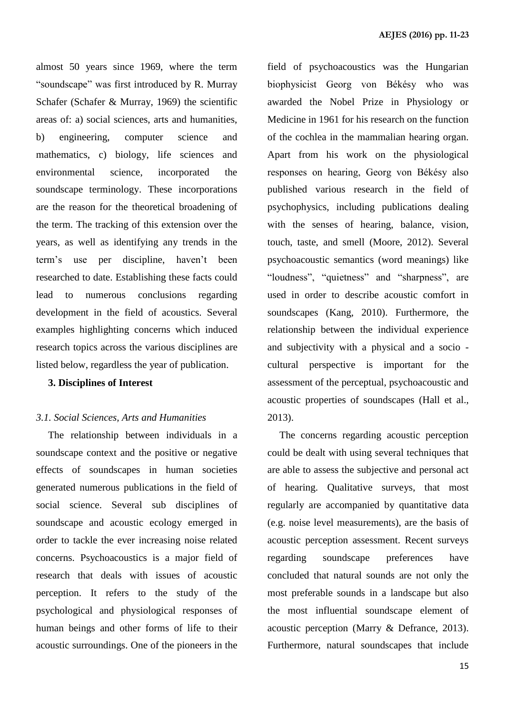almost 50 years since 1969, where the term "soundscape" was first introduced by R. Murray Schafer (Schafer & Murray, 1969) the scientific areas of: a) social sciences, arts and humanities, b) engineering, computer science and mathematics, c) biology, life sciences and environmental science, incorporated the soundscape terminology. These incorporations are the reason for the theoretical broadening of the term. The tracking of this extension over the years, as well as identifying any trends in the term's use per discipline, haven't been researched to date. Establishing these facts could lead to numerous conclusions regarding development in the field of acoustics. Several examples highlighting concerns which induced research topics across the various disciplines are listed below, regardless the year of publication.

### **3. Disciplines of Interest**

#### *3.1. Social Sciences, Arts and Humanities*

The relationship between individuals in a soundscape context and the positive or negative effects of soundscapes in human societies generated numerous publications in the field of social science. Several sub disciplines of soundscape and acoustic ecology emerged in order to tackle the ever increasing noise related concerns. Psychoacoustics is a major field of research that deals with issues of acoustic perception. It refers to the study of the psychological and physiological responses of human beings and other forms of life to their acoustic surroundings. One of the pioneers in the field of psychoacoustics was the Hungarian biophysicist Georg von Békésy who was awarded the Nobel Prize in Physiology or Medicine in 1961 for his research on the function of the cochlea in the mammalian hearing organ. Apart from his work on the physiological responses on hearing, Georg von Békésy also published various research in the field of psychophysics, including publications dealing with the senses of hearing, balance, vision, touch, taste, and smell (Moore, 2012). Several psychoacoustic semantics (word meanings) like "loudness", "quietness" and "sharpness", are used in order to describe acoustic comfort in soundscapes (Kang, 2010). Furthermore, the relationship between the individual experience and subjectivity with a physical and a socio cultural perspective is important for the assessment of the perceptual, psychoacoustic and acoustic properties of soundscapes (Hall et al., 2013).

The concerns regarding acoustic perception could be dealt with using several techniques that are able to assess the subjective and personal act of hearing. Qualitative surveys, that most regularly are accompanied by quantitative data (e.g. noise level measurements), are the basis of acoustic perception assessment. Recent surveys regarding soundscape preferences have concluded that natural sounds are not only the most preferable sounds in a landscape but also the most influential soundscape element of acoustic perception (Marry & Defrance, 2013). Furthermore, natural soundscapes that include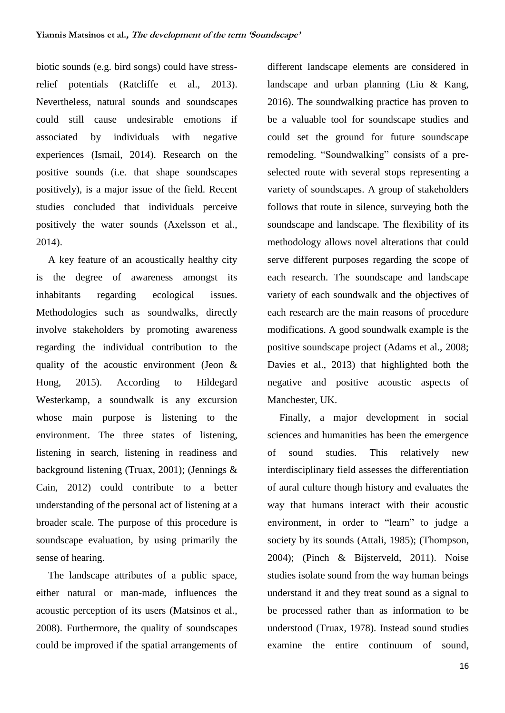biotic sounds (e.g. bird songs) could have stressrelief potentials (Ratcliffe et al., 2013). Nevertheless, natural sounds and soundscapes could still cause undesirable emotions if associated by individuals with negative experiences (Ismail, 2014). Research on the positive sounds (i.e. that shape soundscapes positively), is a major issue of the field. Recent studies concluded that individuals perceive positively the water sounds (Axelsson et al., 2014).

A key feature of an acoustically healthy city is the degree of awareness amongst its inhabitants regarding ecological issues. Methodologies such as soundwalks, directly involve stakeholders by promoting awareness regarding the individual contribution to the quality of the acoustic environment (Jeon & Hong, 2015). According to Hildegard Westerkamp, a soundwalk is any excursion whose main purpose is listening to the environment. The three states of listening, listening in search, listening in readiness and background listening (Truax, 2001); (Jennings & Cain, 2012) could contribute to a better understanding of the personal act of listening at a broader scale. The purpose of this procedure is soundscape evaluation, by using primarily the sense of hearing.

The landscape attributes of a public space, either natural or man-made, influences the acoustic perception of its users (Matsinos et al., 2008). Furthermore, the quality of soundscapes could be improved if the spatial arrangements of different landscape elements are considered in landscape and urban planning (Liu & Kang, 2016). The soundwalking practice has proven to be a valuable tool for soundscape studies and could set the ground for future soundscape remodeling. "Soundwalking" consists of a preselected route with several stops representing a variety of soundscapes. A group of stakeholders follows that route in silence, surveying both the soundscape and landscape. The flexibility of its methodology allows novel alterations that could serve different purposes regarding the scope of each research. The soundscape and landscape variety of each soundwalk and the objectives of each research are the main reasons of procedure modifications. A good soundwalk example is the positive soundscape project (Adams et al., 2008; Davies et al., 2013) that highlighted both the negative and positive acoustic aspects of Manchester, UK.

Finally, a major development in social sciences and humanities has been the emergence of sound studies. This relatively new interdisciplinary field assesses the differentiation of aural culture though history and evaluates the way that humans interact with their acoustic environment, in order to "learn" to judge a society by its sounds (Attali, 1985); (Thompson, 2004); (Pinch & Bijsterveld, 2011). Noise studies isolate sound from the way human beings understand it and they treat sound as a signal to be processed rather than as information to be understood (Truax, 1978). Instead sound studies examine the entire continuum of sound,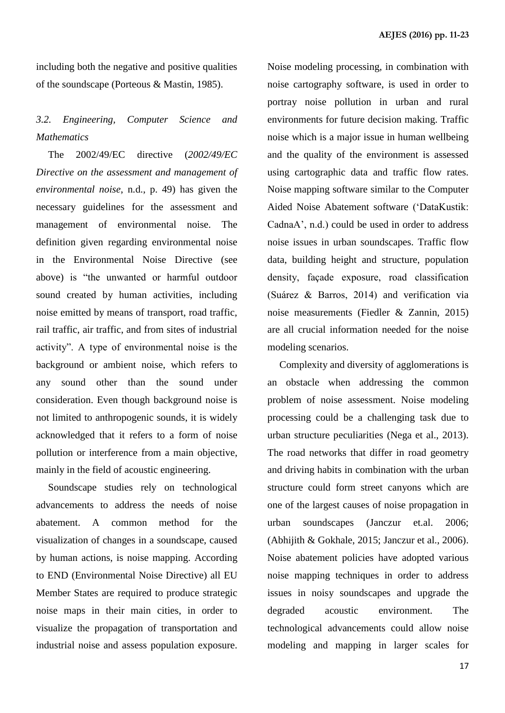including both the negative and positive qualities of the soundscape (Porteous & Mastin, 1985).

# *3.2. Engineering, Computer Science and Mathematics*

The 2002/49/EC directive (*2002/49/EC Directive on the assessment and management of environmental noise*, n.d., p. 49) has given the necessary guidelines for the assessment and management of environmental noise. The definition given regarding environmental noise in the Environmental Noise Directive (see above) is "the unwanted or harmful outdoor sound created by human activities, including noise emitted by means of transport, road traffic, rail traffic, air traffic, and from sites of industrial activity". A type of environmental noise is the background or ambient noise, which refers to any sound other than the sound under consideration. Even though background noise is not limited to anthropogenic sounds, it is widely acknowledged that it refers to a form of noise pollution or interference from a main objective, mainly in the field of acoustic engineering.

Soundscape studies rely on technological advancements to address the needs of noise abatement. A common method for the visualization of changes in a soundscape, caused by human actions, is noise mapping. According to END (Environmental Noise Directive) all EU Member States are required to produce strategic noise maps in their main cities, in order to visualize the propagation of transportation and industrial noise and assess population exposure. Noise modeling processing, in combination with noise cartography software, is used in order to portray noise pollution in urban and rural environments for future decision making. Traffic noise which is a major issue in human wellbeing and the quality of the environment is assessed using cartographic data and traffic flow rates. Noise mapping software similar to the Computer Aided Noise Abatement software ('DataKustik: CadnaA', n.d.) could be used in order to address noise issues in urban soundscapes. Traffic flow data, building height and structure, population density, façade exposure, road classification (Suárez & Barros, 2014) and verification via noise measurements (Fiedler & Zannin, 2015) are all crucial information needed for the noise modeling scenarios.

Complexity and diversity of agglomerations is an obstacle when addressing the common problem of noise assessment. Noise modeling processing could be a challenging task due to urban structure peculiarities (Nega et al., 2013). The road networks that differ in road geometry and driving habits in combination with the urban structure could form street canyons which are one of the largest causes of noise propagation in urban soundscapes (Janczur et.al. 2006; (Abhijith & Gokhale, 2015; Janczur et al., 2006). Noise abatement policies have adopted various noise mapping techniques in order to address issues in noisy soundscapes and upgrade the degraded acoustic environment. The technological advancements could allow noise modeling and mapping in larger scales for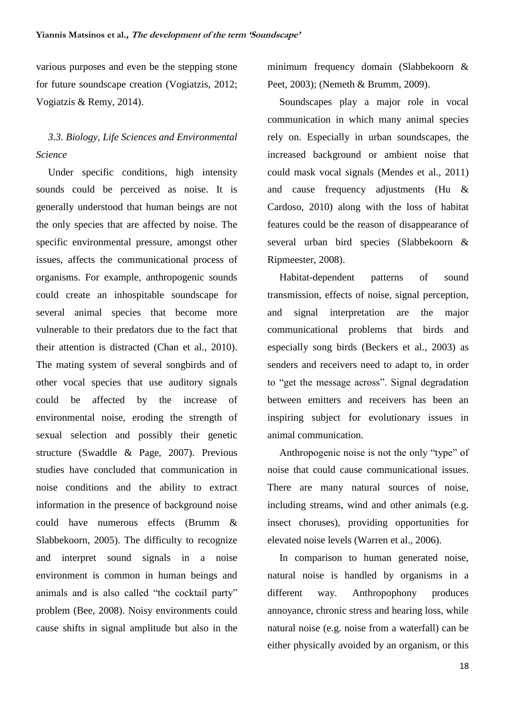various purposes and even be the stepping stone for future soundscape creation (Vogiatzis, 2012; Vogiatzis & Remy, 2014).

# *3.3. Biology, Life Sciences and Environmental Science*

Under specific conditions, high intensity sounds could be perceived as noise. It is generally understood that human beings are not the only species that are affected by noise. The specific environmental pressure, amongst other issues, affects the communicational process of organisms. For example, anthropogenic sounds could create an inhospitable soundscape for several animal species that become more vulnerable to their predators due to the fact that their attention is distracted (Chan et al., 2010). The mating system of several songbirds and of other vocal species that use auditory signals could be affected by the increase of environmental noise, eroding the strength of sexual selection and possibly their genetic structure (Swaddle & Page, 2007). Previous studies have concluded that communication in noise conditions and the ability to extract information in the presence of background noise could have numerous effects (Brumm & Slabbekoorn, 2005). The difficulty to recognize and interpret sound signals in a noise environment is common in human beings and animals and is also called "the cocktail party" problem (Bee, 2008). Noisy environments could cause shifts in signal amplitude but also in the

minimum frequency domain (Slabbekoorn & Peet, 2003); (Nemeth & Brumm, 2009).

Soundscapes play a major role in vocal communication in which many animal species rely on. Especially in urban soundscapes, the increased background or ambient noise that could mask vocal signals (Mendes et al., 2011) and cause frequency adjustments (Hu & Cardoso, 2010) along with the loss of habitat features could be the reason of disappearance of several urban bird species (Slabbekoorn & Ripmeester, 2008).

Habitat-dependent patterns of sound transmission, effects of noise, signal perception, and signal interpretation are the major communicational problems that birds and especially song birds (Beckers et al., 2003) as senders and receivers need to adapt to, in order to "get the message across". Signal degradation between emitters and receivers has been an inspiring subject for evolutionary issues in animal communication.

Anthropogenic noise is not the only "type" of noise that could cause communicational issues. There are many natural sources of noise, including streams, wind and other animals (e.g. insect choruses), providing opportunities for elevated noise levels (Warren et al., 2006).

In comparison to human generated noise, natural noise is handled by organisms in a different way. Anthropophony produces annoyance, chronic stress and hearing loss, while natural noise (e.g. noise from a waterfall) can be either physically avoided by an organism, or this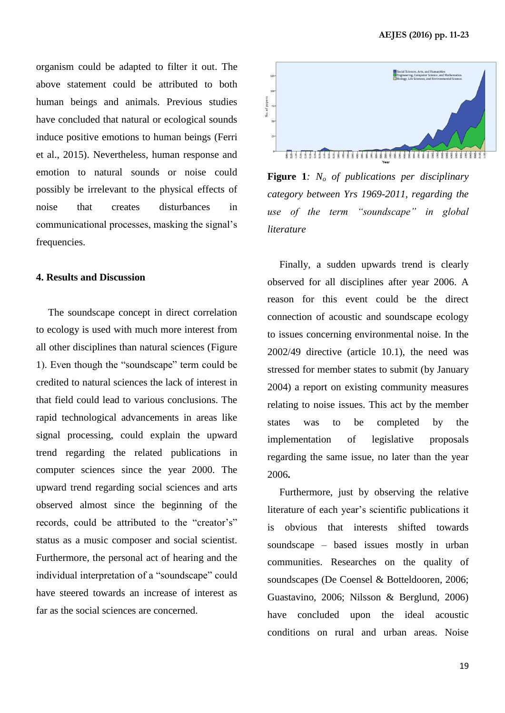organism could be adapted to filter it out. The above statement could be attributed to both human beings and animals. Previous studies have concluded that natural or ecological sounds induce positive emotions to human beings (Ferri et al., 2015). Nevertheless, human response and emotion to natural sounds or noise could possibly be irrelevant to the physical effects of noise that creates disturbances in communicational processes, masking the signal's frequencies.

#### **4. Results and Discussion**

The soundscape concept in direct correlation to ecology is used with much more interest from all other disciplines than natural sciences (Figure 1). Even though the "soundscape" term could be credited to natural sciences the lack of interest in that field could lead to various conclusions. The rapid technological advancements in areas like signal processing, could explain the upward trend regarding the related publications in computer sciences since the year 2000. The upward trend regarding social sciences and arts observed almost since the beginning of the records, could be attributed to the "creator's" status as a music composer and social scientist. Furthermore, the personal act of hearing and the individual interpretation of a "soundscape" could have steered towards an increase of interest as far as the social sciences are concerned.



**Figure 1***: N<sup>o</sup> of publications per disciplinary category between Yrs 1969-2011, regarding the use of the term "soundscape" in global literature*

Finally, a sudden upwards trend is clearly observed for all disciplines after year 2006. A reason for this event could be the direct connection of acoustic and soundscape ecology to issues concerning environmental noise. In the 2002/49 directive (article 10.1), the need was stressed for member states to submit (by January 2004) a report on existing community measures relating to noise issues. This act by the member states was to be completed by the implementation of legislative proposals regarding the same issue, no later than the year 2006**.** 

Furthermore, just by observing the relative literature of each year's scientific publications it is obvious that interests shifted towards soundscape – based issues mostly in urban communities. Researches on the quality of soundscapes (De Coensel & Botteldooren, 2006; Guastavino, 2006; Nilsson & Berglund, 2006) have concluded upon the ideal acoustic conditions on rural and urban areas. Noise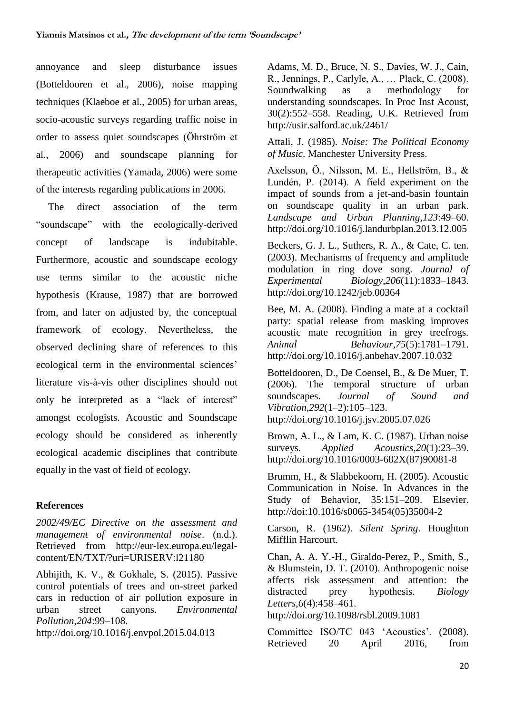annoyance and sleep disturbance issues (Botteldooren et al., 2006), noise mapping techniques (Klaeboe et al., 2005) for urban areas, socio-acoustic surveys regarding traffic noise in order to assess quiet soundscapes (Öhrström et al., 2006) and soundscape planning for therapeutic activities (Yamada, 2006) were some of the interests regarding publications in 2006.

The direct association of the term "soundscape" with the ecologically-derived concept of landscape is indubitable. Furthermore, acoustic and soundscape ecology use terms similar to the acoustic niche hypothesis (Krause, 1987) that are borrowed from, and later on adjusted by, the conceptual framework of ecology. Nevertheless, the observed declining share of references to this ecological term in the environmental sciences' literature vis-à-vis other disciplines should not only be interpreted as a "lack of interest" amongst ecologists. Acoustic and Soundscape ecology should be considered as inherently ecological academic disciplines that contribute equally in the vast of field of ecology.

#### **References**

*2002/49/EC Directive on the assessment and management of environmental noise*. (n.d.). Retrieved from http://eur-lex.europa.eu/legalcontent/EN/TXT/?uri=URISERV:l21180

Abhijith, K. V., & Gokhale, S. (2015). Passive control potentials of trees and on-street parked cars in reduction of air pollution exposure in urban street canyons. *Environmental Pollution*,*204*:99–108.

http://doi.org/10.1016/j.envpol.2015.04.013

Adams, M. D., Bruce, N. S., Davies, W. J., Cain, R., Jennings, P., Carlyle, A., … Plack, C. (2008). Soundwalking as a methodology for understanding soundscapes. In Proc Inst Acoust, 30(2):552–558. Reading, U.K. Retrieved from http://usir.salford.ac.uk/2461/

Attali, J. (1985). *Noise: The Political Economy of Music*. Manchester University Press.

Axelsson, Ö., Nilsson, M. E., Hellström, B., & Lundén, P. (2014). A field experiment on the impact of sounds from a jet-and-basin fountain on soundscape quality in an urban park. *Landscape and Urban Planning*,*123*:49–60. http://doi.org/10.1016/j.landurbplan.2013.12.005

Beckers, G. J. L., Suthers, R. A., & Cate, C. ten. (2003). Mechanisms of frequency and amplitude modulation in ring dove song. *Journal of Experimental Biology*,*206*(11):1833–1843. http://doi.org/10.1242/jeb.00364

Bee, M. A. (2008). Finding a mate at a cocktail party: spatial release from masking improves acoustic mate recognition in grey treefrogs. *Animal Behaviour*,*75*(5):1781–1791. http://doi.org/10.1016/j.anbehav.2007.10.032

Botteldooren, D., De Coensel, B., & De Muer, T. (2006). The temporal structure of urban soundscapes. *Journal of Sound and Vibration*,*292*(1–2):105–123. http://doi.org/10.1016/j.jsv.2005.07.026

Brown, A. L., & Lam, K. C. (1987). Urban noise surveys. *Applied Acoustics*,*20*(1):23–39. http://doi.org/10.1016/0003-682X(87)90081-8

Brumm, H., & Slabbekoorn, H. (2005). Acoustic Communication in Noise. In Advances in the Study of Behavior, 35:151–209. Elsevier. http://doi:10.1016/s0065-3454(05)35004-2

Carson, R. (1962). *Silent Spring*. Houghton Mifflin Harcourt.

Chan, A. A. Y.-H., Giraldo-Perez, P., Smith, S., & Blumstein, D. T. (2010). Anthropogenic noise affects risk assessment and attention: the distracted prey hypothesis. *Biology Letters*,*6*(4):458–461.

http://doi.org/10.1098/rsbl.2009.1081

Committee ISO/TC 043 'Acoustics'. (2008). Retrieved 20 April 2016, from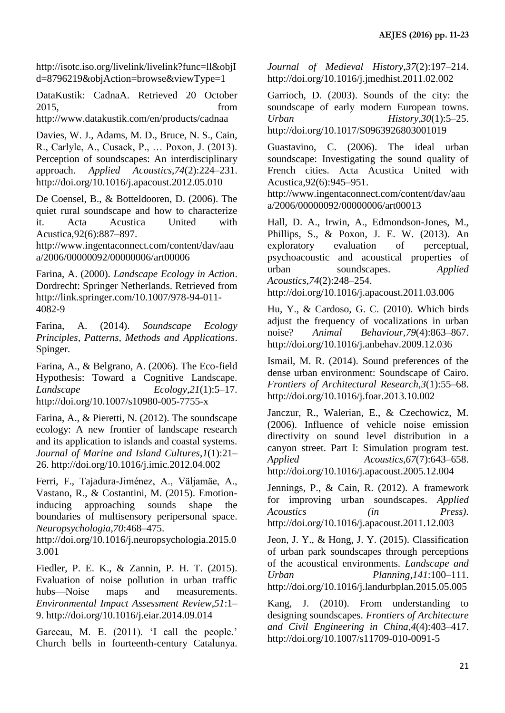http://isotc.iso.org/livelink/livelink?func=ll&objI d=8796219&objAction=browse&viewType=1

DataKustik: CadnaA. Retrieved 20 October 2015, from

http://www.datakustik.com/en/products/cadnaa

Davies, W. J., Adams, M. D., Bruce, N. S., Cain, R., Carlyle, A., Cusack, P., … Poxon, J. (2013). Perception of soundscapes: An interdisciplinary approach. *Applied Acoustics*,*74*(2):224–231. http://doi.org/10.1016/j.apacoust.2012.05.010

De Coensel, B., & Botteldooren, D. (2006). The quiet rural soundscape and how to characterize it. Acta Acustica United with Acustica,92(6):887–897.

http://www.ingentaconnect.com/content/dav/aau a/2006/00000092/00000006/art00006

Farina, A. (2000). *Landscape Ecology in Action*. Dordrecht: Springer Netherlands. Retrieved from http://link.springer.com/10.1007/978-94-011- 4082-9

Farina, A. (2014). *Soundscape Ecology Principles, Patterns, Methods and Applications*. Spinger.

Farina, A., & Belgrano, A. (2006). The Eco-field Hypothesis: Toward a Cognitive Landscape. *Landscape Ecology*,*21*(1):5–17. http://doi.org/10.1007/s10980-005-7755-x

Farina, A., & Pieretti, N. (2012). The soundscape ecology: A new frontier of landscape research and its application to islands and coastal systems. *Journal of Marine and Island Cultures*,*1*(1):21– 26. http://doi.org/10.1016/j.imic.2012.04.002

Ferri, F., Tajadura-Jiménez, A., Väljamäe, A., Vastano, R., & Costantini, M. (2015). Emotioninducing approaching sounds shape the boundaries of multisensory peripersonal space. *Neuropsychologia*,*70*:468–475.

http://doi.org/10.1016/j.neuropsychologia.2015.0 3.001

Fiedler, P. E. K., & Zannin, P. H. T. (2015). Evaluation of noise pollution in urban traffic hubs—Noise maps and measurements. *Environmental Impact Assessment Review*,*51*:1– 9. http://doi.org/10.1016/j.eiar.2014.09.014

Garceau, M. E. (2011). 'I call the people.' Church bells in fourteenth-century Catalunya. *Journal of Medieval History*,*37*(2):197–214. http://doi.org/10.1016/j.jmedhist.2011.02.002

Garrioch, D. (2003). Sounds of the city: the soundscape of early modern European towns. *Urban History*,*30*(1):5–25.

http://doi.org/10.1017/S0963926803001019

Guastavino, C. (2006). The ideal urban soundscape: Investigating the sound quality of French cities. Acta Acustica United with Acustica,92(6):945–951.

http://www.ingentaconnect.com/content/dav/aau a/2006/00000092/00000006/art00013

Hall, D. A., Irwin, A., Edmondson-Jones, M., Phillips, S., & Poxon, J. E. W. (2013). An exploratory evaluation of perceptual, psychoacoustic and acoustical properties of urban soundscapes. *Applied Acoustics*,*74*(2):248–254.

http://doi.org/10.1016/j.apacoust.2011.03.006

Hu, Y., & Cardoso, G. C. (2010). Which birds adjust the frequency of vocalizations in urban noise? *Animal Behaviour*,*79*(4):863–867. http://doi.org/10.1016/j.anbehav.2009.12.036

Ismail, M. R. (2014). Sound preferences of the dense urban environment: Soundscape of Cairo. *Frontiers of Architectural Research*,*3*(1):55–68. http://doi.org/10.1016/j.foar.2013.10.002

Janczur, R., Walerian, E., & Czechowicz, M. (2006). Influence of vehicle noise emission directivity on sound level distribution in a canyon street. Part I: Simulation program test. *Applied Acoustics*,*67*(7):643–658. http://doi.org/10.1016/j.apacoust.2005.12.004

Jennings, P., & Cain, R. (2012). A framework for improving urban soundscapes. *Applied Acoustics (in Press)*. http://doi.org/10.1016/j.apacoust.2011.12.003

Jeon, J. Y., & Hong, J. Y. (2015). Classification of urban park soundscapes through perceptions of the acoustical environments. *Landscape and Urban Planning*,*141*:100–111. http://doi.org/10.1016/j.landurbplan.2015.05.005

Kang, J. (2010). From understanding to designing soundscapes. *Frontiers of Architecture and Civil Engineering in China*,*4*(4):403–417. http://doi.org/10.1007/s11709-010-0091-5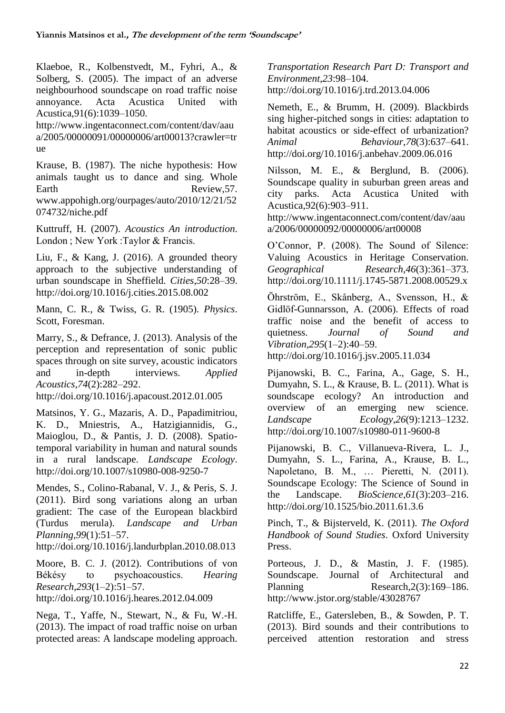Klaeboe, R., Kolbenstvedt, M., Fyhri, A., & Solberg, S. (2005). The impact of an adverse neighbourhood soundscape on road traffic noise annoyance. Acta Acustica United with Acustica,91(6):1039–1050.

http://www.ingentaconnect.com/content/dav/aau a/2005/00000091/00000006/art00013?crawler=tr ue

Krause, B. (1987). The niche hypothesis: How animals taught us to dance and sing. Whole Earth Review, 57. www.appohigh.org/ourpages/auto/2010/12/21/52 074732/niche.pdf

Kuttruff, H. (2007). *Acoustics An introduction*. London ; New York :Taylor & Francis.

Liu, F., & Kang, J. (2016). A grounded theory approach to the subjective understanding of urban soundscape in Sheffield. *Cities*,*50*:28–39. http://doi.org/10.1016/j.cities.2015.08.002

Mann, C. R., & Twiss, G. R. (1905). *Physics*. Scott, Foresman.

Marry, S., & Defrance, J. (2013). Analysis of the perception and representation of sonic public spaces through on site survey, acoustic indicators and in-depth interviews. *Applied Acoustics*,*74*(2):282–292.

http://doi.org/10.1016/j.apacoust.2012.01.005

Matsinos, Y. G., Mazaris, A. D., Papadimitriou, K. D., Mniestris, A., Hatzigiannidis, G., Maioglou, D., & Pantis, J. D. (2008). Spatiotemporal variability in human and natural sounds in a rural landscape. *Landscape Ecology*. http://doi.org/10.1007/s10980-008-9250-7

Mendes, S., Colino-Rabanal, V. J., & Peris, S. J. (2011). Bird song variations along an urban gradient: The case of the European blackbird (Turdus merula). *Landscape and Urban Planning*,*99*(1):51–57.

http://doi.org/10.1016/j.landurbplan.2010.08.013

Moore, B. C. J. (2012). Contributions of von Békésy to psychoacoustics. *Hearing Research*,*293*(1–2):51–57.

http://doi.org/10.1016/j.heares.2012.04.009

Nega, T., Yaffe, N., Stewart, N., & Fu, W.-H. (2013). The impact of road traffic noise on urban protected areas: A landscape modeling approach.

*Transportation Research Part D: Transport and Environment*,*23*:98–104. http://doi.org/10.1016/j.trd.2013.04.006

Nemeth, E., & Brumm, H. (2009). Blackbirds sing higher-pitched songs in cities: adaptation to habitat acoustics or side-effect of urbanization? *Animal Behaviour*,*78*(3):637–641. http://doi.org/10.1016/j.anbehav.2009.06.016

Nilsson, M. E., & Berglund, B. (2006). Soundscape quality in suburban green areas and city parks. Acta Acustica United with Acustica,92(6):903–911.

http://www.ingentaconnect.com/content/dav/aau a/2006/00000092/00000006/art00008

O'Connor, P. (2008). The Sound of Silence: Valuing Acoustics in Heritage Conservation. *Geographical Research*,*46*(3):361–373. http://doi.org/10.1111/j.1745-5871.2008.00529.x

Öhrström, E., Skånberg, A., Svensson, H., & Gidlöf-Gunnarsson, A. (2006). Effects of road traffic noise and the benefit of access to quietness. *Journal of Sound and Vibration*,*295*(1–2):40–59.

http://doi.org/10.1016/j.jsv.2005.11.034

Pijanowski, B. C., Farina, A., Gage, S. H., Dumyahn, S. L., & Krause, B. L. (2011). What is soundscape ecology? An introduction and overview of an emerging new science. *Landscape Ecology*,*26*(9):1213–1232. http://doi.org/10.1007/s10980-011-9600-8

Pijanowski, B. C., Villanueva-Rivera, L. J., Dumyahn, S. L., Farina, A., Krause, B. L., Napoletano, B. M., … Pieretti, N. (2011). Soundscape Ecology: The Science of Sound in the Landscape. *BioScience*,*61*(3):203–216. http://doi.org/10.1525/bio.2011.61.3.6

Pinch, T., & Bijsterveld, K. (2011). *The Oxford Handbook of Sound Studies*. Oxford University Press.

Porteous, J. D., & Mastin, J. F. (1985). Soundscape. Journal of Architectural and Planning Research, 2(3):169–186. http://www.jstor.org/stable/43028767

Ratcliffe, E., Gatersleben, B., & Sowden, P. T. (2013). Bird sounds and their contributions to perceived attention restoration and stress